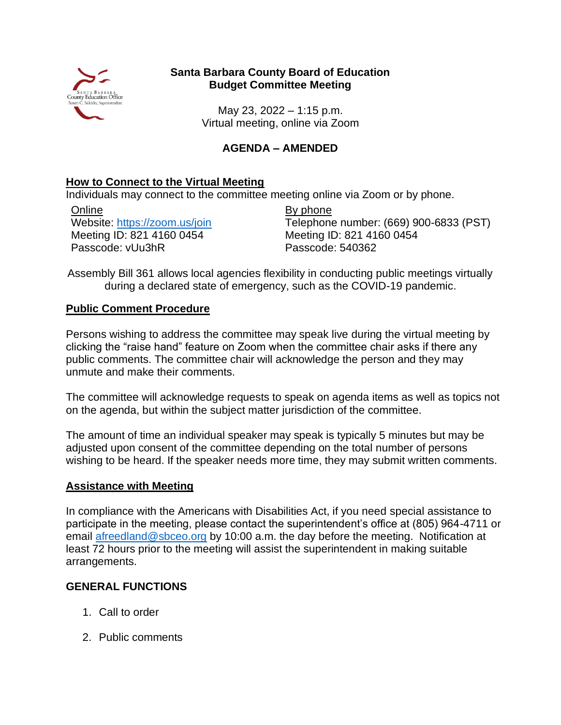

#### **Santa Barbara County Board of Education Budget Committee Meeting**

May 23, 2022 – 1:15 p.m. Virtual meeting, online via Zoom

### **AGENDA – AMENDED**

#### **How to Connect to the Virtual Meeting**

Individuals may connect to the committee meeting online via Zoom or by phone.

Online By phone Website: https://zoom.us/join Meeting ID: 821 4160 0454 Passcode: vUu3hR

Telephone number: (669) 900-6833 (PST) Meeting ID: 821 4160 0454 Passcode: 540362

Assembly Bill 361 allows local agencies flexibility in conducting public meetings virtually during a declared state of emergency, such as the COVID-19 pandemic.

#### **Public Comment Procedure**

Persons wishing to address the committee may speak live during the virtual meeting by clicking the "raise hand" feature on Zoom when the committee chair asks if there any public comments. The committee chair will acknowledge the person and they may unmute and make their comments.

The committee will acknowledge requests to speak on agenda items as well as topics not on the agenda, but within the subject matter jurisdiction of the committee.

The amount of time an individual speaker may speak is typically 5 minutes but may be adjusted upon consent of the committee depending on the total number of persons wishing to be heard. If the speaker needs more time, they may submit written comments.

#### **Assistance with Meeting**

In compliance with the Americans with Disabilities Act, if you need special assistance to participate in the meeting, please contact the superintendent's office at (805) 964-4711 or email [afreedland@sbceo.org](mailto:afreedland@sbceo.org) by 10:00 a.m. the day before the meeting. Notification at least 72 hours prior to the meeting will assist the superintendent in making suitable arrangements.

## **GENERAL FUNCTIONS**

- 1. Call to order
- 2. Public comments